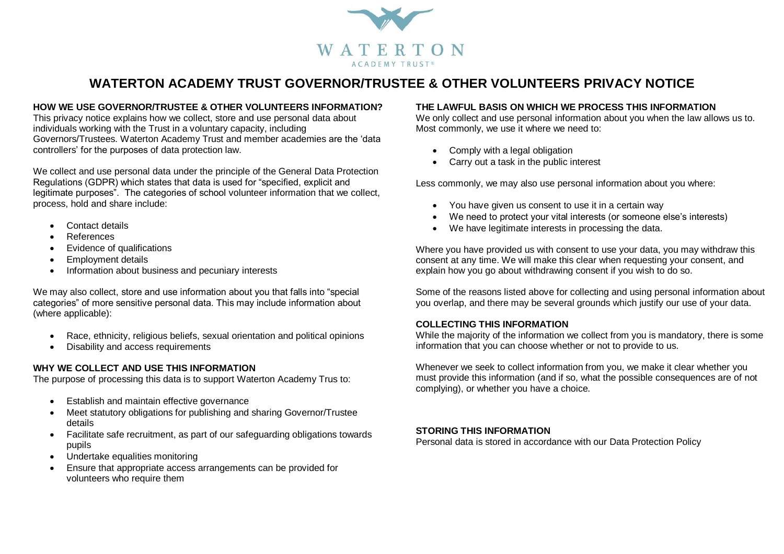

# **WATERTON ACADEMY TRUST GOVERNOR/TRUSTEE & OTHER VOLUNTEERS PRIVACY NOTICE**

# **HOW WE USE GOVERNOR/TRUSTEE & OTHER VOLUNTEERS INFORMATION?**

This privacy notice explains how we collect, store and use personal data about individuals working with the Trust in a voluntary capacity, including Governors/Trustees. Waterton Academy Trust and member academies are the 'data controllers' for the purposes of data protection law.

We collect and use personal data under the principle of the General Data Protection Regulations (GDPR) which states that data is used for "specified, explicit and legitimate purposes". The categories of school volunteer information that we collect, process, hold and share include:

- Contact details
- References
- Evidence of qualifications
- Employment details
- Information about business and pecuniary interests

We may also collect, store and use information about you that falls into "special categories" of more sensitive personal data. This may include information about (where applicable):

- Race, ethnicity, religious beliefs, sexual orientation and political opinions
- Disability and access requirements

#### **WHY WE COLLECT AND USE THIS INFORMATION**

The purpose of processing this data is to support Waterton Academy Trus to:

- Establish and maintain effective governance
- Meet statutory obligations for publishing and sharing Governor/Trustee details
- Facilitate safe recruitment, as part of our safeguarding obligations towards pupils
- Undertake equalities monitoring
- Ensure that appropriate access arrangements can be provided for volunteers who require them

# **THE LAWFUL BASIS ON WHICH WE PROCESS THIS INFORMATION**

We only collect and use personal information about you when the law allows us to. Most commonly, we use it where we need to:

- Comply with a legal obligation
- Carry out a task in the public interest

Less commonly, we may also use personal information about you where:

- You have given us consent to use it in a certain way
- We need to protect your vital interests (or someone else's interests)
- We have legitimate interests in processing the data.

Where you have provided us with consent to use your data, you may withdraw this consent at any time. We will make this clear when requesting your consent, and explain how you go about withdrawing consent if you wish to do so.

Some of the reasons listed above for collecting and using personal information about you overlap, and there may be several grounds which justify our use of your data.

#### **COLLECTING THIS INFORMATION**

While the majority of the information we collect from you is mandatory, there is some information that you can choose whether or not to provide to us.

Whenever we seek to collect information from you, we make it clear whether you must provide this information (and if so, what the possible consequences are of not complying), or whether you have a choice.

#### **STORING THIS INFORMATION**

Personal data is stored in accordance with our Data Protection Policy